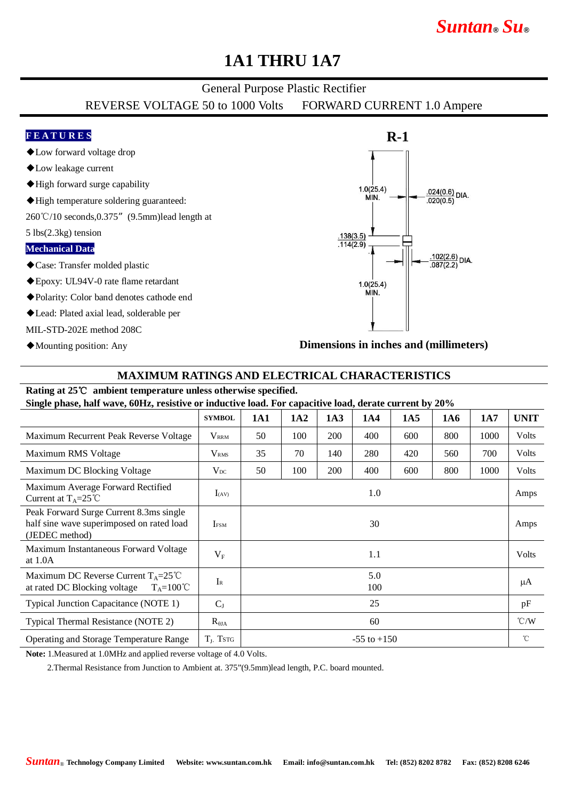# *Suntan***®** *Su***®**

## **1A1 THRU 1A7**

### General Purpose Plastic Rectifier

REVERSE VOLTAGE 50 to 1000 Volts FORWARD CURRENT 1.0 Ampere

### **F E A T U R E S**

- ◆Low forward voltage drop
- ◆Low leakage current
- ◆High forward surge capability
- ◆High temperature soldering guaranteed:

260℃/10 seconds,0.375"(9.5mm)lead length at

5 lbs(2.3kg) tension

#### **Mechanical Data**

- ◆Case: Transfer molded plastic
- ◆Epoxy: UL94V-0 rate flame retardant
- ◆Polarity: Color band denotes cathode end
- ◆Lead: Plated axial lead, solderable per

MIL-STD-202E method 208C

◆Mounting position: Any



**Dimensions in inches and (millimeters)**

### **MAXIMUM RATINGS AND ELECTRICAL CHARACTERISTICS**

### **Rating at 25**℃ **ambient temperature unless otherwise specified.**

**Single phase, half wave, 60Hz, resistive or inductive load. For capacitive load, derate current by 20%**

|                                                                                                        | <b>SYMBOL</b>    | 1A1             | 1A2 | 1A3 | 1A4 | 1A5 | 1A6 | 1A7  | <b>UNIT</b>   |
|--------------------------------------------------------------------------------------------------------|------------------|-----------------|-----|-----|-----|-----|-----|------|---------------|
| Maximum Recurrent Peak Reverse Voltage                                                                 | $V_{\rm RRM}$    | 50              | 100 | 200 | 400 | 600 | 800 | 1000 | Volts         |
| Maximum RMS Voltage                                                                                    | V <sub>RMS</sub> | 35              | 70  | 140 | 280 | 420 | 560 | 700  | Volts         |
| Maximum DC Blocking Voltage                                                                            | $V_{DC}$         | 50              | 100 | 200 | 400 | 600 | 800 | 1000 | <b>Volts</b>  |
| Maximum Average Forward Rectified<br>Current at $T_A = 25^{\circ}C$                                    | $I_{(AV)}$       | 1.0             |     |     |     |     |     |      | Amps          |
| Peak Forward Surge Current 8.3ms single<br>half sine wave superimposed on rated load<br>(JEDEC method) | <b>IFSM</b>      | 30              |     |     |     |     |     |      | Amps          |
| Maximum Instantaneous Forward Voltage<br>at $1.0A$                                                     | $V_{F}$          | 1.1             |     |     |     |     |     |      | <b>Volts</b>  |
| Maximum DC Reverse Current $T_A = 25^{\circ}C$<br>at rated DC Blocking voltage<br>$T_A = 100^{\circ}C$ | $I_{R}$          | 5.0<br>100      |     |     |     |     |     |      | μA            |
| Typical Junction Capacitance (NOTE 1)                                                                  | $C_{J}$          | 25              |     |     |     |     |     |      | pF            |
| Typical Thermal Resistance (NOTE 2)                                                                    | $R_{\theta JA}$  | 60              |     |     |     |     |     |      | $\degree$ C/W |
| Operating and Storage Temperature Range                                                                | $T_{J}$ , Tstg   | $-55$ to $+150$ |     |     |     |     |     |      | °C            |

**Note:** 1.Measured at 1.0MHz and applied reverse voltage of 4.0 Volts.

2.Thermal Resistance from Junction to Ambient at. 375"(9.5mm)lead length, P.C. board mounted.